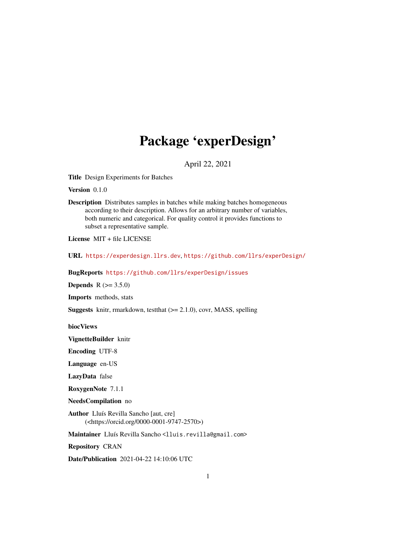## Package 'experDesign'

April 22, 2021

<span id="page-0-0"></span>Title Design Experiments for Batches

Version 0.1.0

Description Distributes samples in batches while making batches homogeneous according to their description. Allows for an arbitrary number of variables, both numeric and categorical. For quality control it provides functions to subset a representative sample.

License MIT + file LICENSE

URL <https://experdesign.llrs.dev>, <https://github.com/llrs/experDesign/>

BugReports <https://github.com/llrs/experDesign/issues>

**Depends** R  $(>= 3.5.0)$ 

Imports methods, stats

Suggests knitr, rmarkdown, testthat (>= 2.1.0), covr, MASS, spelling

biocViews

VignetteBuilder knitr

Encoding UTF-8

Language en-US

LazyData false

RoxygenNote 7.1.1

NeedsCompilation no

Author Lluís Revilla Sancho [aut, cre] (<https://orcid.org/0000-0001-9747-2570>)

Maintainer Lluís Revilla Sancho <lluis.revilla@gmail.com>

Repository CRAN

Date/Publication 2021-04-22 14:10:06 UTC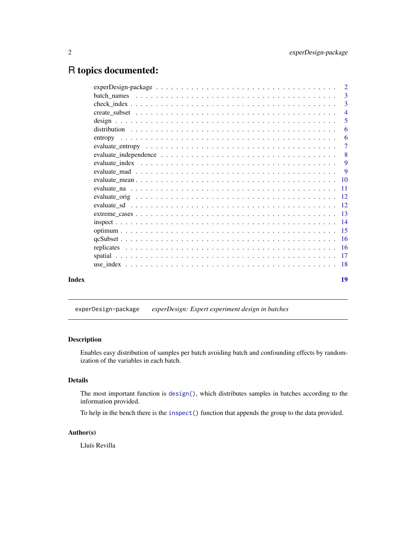## <span id="page-1-0"></span>R topics documented:

|       | $\overline{\phantom{a}3}$ |
|-------|---------------------------|
|       | 3                         |
|       | $\overline{4}$            |
|       | $\overline{5}$            |
|       | 6                         |
|       | -6                        |
|       | $\overline{7}$            |
|       | 8                         |
|       | 9                         |
|       | 9                         |
|       |                           |
|       |                           |
|       |                           |
|       |                           |
|       |                           |
|       |                           |
|       |                           |
|       |                           |
|       |                           |
|       |                           |
|       |                           |
| Index | 19                        |

experDesign-package *experDesign: Expert experiment design in batches*

## Description

Enables easy distribution of samples per batch avoiding batch and confounding effects by randomization of the variables in each batch.

## Details

The most important function is [design\(\)](#page-4-1), which distributes samples in batches according to the information provided.

To help in the bench there is the [inspect\(\)](#page-13-1) function that appends the group to the data provided.

## Author(s)

Lluís Revilla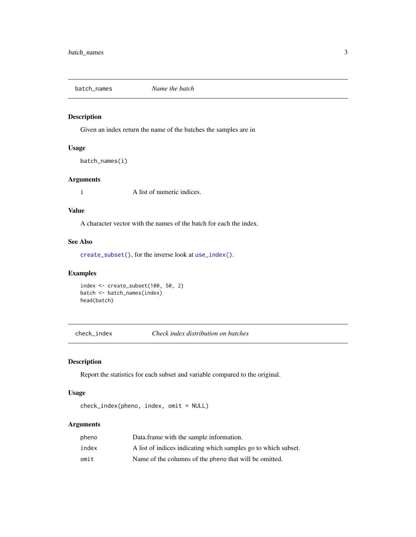<span id="page-2-1"></span><span id="page-2-0"></span>

Given an index return the name of the batches the samples are in

## Usage

batch\_names(i)

## Arguments

i A list of numeric indices.

## Value

A character vector with the names of the batch for each the index.

## See Also

[create\\_subset\(\)](#page-3-1), for the inverse look at [use\\_index\(\)](#page-17-1).

## Examples

```
index <- create_subset(100, 50, 2)
batch <- batch_names(index)
head(batch)
```
check\_index *Check index distribution on batches*

## Description

Report the statistics for each subset and variable compared to the original.

#### Usage

```
check_index(pheno, index, omit = NULL)
```
## Arguments

| pheno | Data.frame with the sample information.                        |
|-------|----------------------------------------------------------------|
| index | A list of indices indicating which samples go to which subset. |
| omit  | Name of the columns of the pheno that will be omitted.         |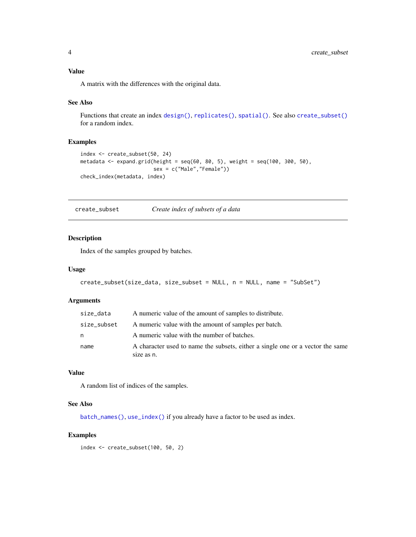## <span id="page-3-0"></span>Value

A matrix with the differences with the original data.

## See Also

Functions that create an index [design\(\)](#page-4-1), [replicates\(\)](#page-15-1), [spatial\(\)](#page-16-1). See also [create\\_subset\(\)](#page-3-1) for a random index.

## Examples

```
index <- create_subset(50, 24)
metadata <- expand.grid(height = seq(60, 80, 5), weight = seq(100, 300, 50),
                        sex = c("Male","Female"))
check_index(metadata, index)
```
<span id="page-3-1"></span>create\_subset *Create index of subsets of a data*

## Description

Index of the samples grouped by batches.

#### Usage

```
create_subset(size_data, size_subset = NULL, n = NULL, name = "SubSet")
```
#### Arguments

| size_data   | A numeric value of the amount of samples to distribute.                                      |
|-------------|----------------------------------------------------------------------------------------------|
| size_subset | A numeric value with the amount of samples per batch.                                        |
| n           | A numeric value with the number of batches.                                                  |
| name        | A character used to name the subsets, either a single one or a vector the same<br>size as n. |

## Value

A random list of indices of the samples.

## See Also

[batch\\_names\(\)](#page-2-1), [use\\_index\(\)](#page-17-1) if you already have a factor to be used as index.

## Examples

index <- create\_subset(100, 50, 2)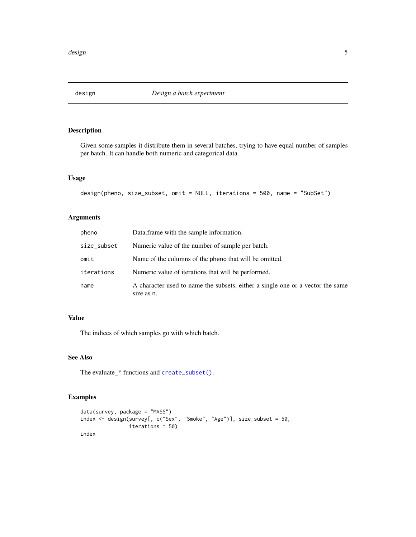<span id="page-4-1"></span><span id="page-4-0"></span>

Given some samples it distribute them in several batches, trying to have equal number of samples per batch. It can handle both numeric and categorical data.

## Usage

design(pheno, size\_subset, omit = NULL, iterations = 500, name = "SubSet")

## Arguments

| pheno       | Data.frame with the sample information.                                                      |
|-------------|----------------------------------------------------------------------------------------------|
| size_subset | Numeric value of the number of sample per batch.                                             |
| omit        | Name of the columns of the pheno that will be omitted.                                       |
| iterations  | Numeric value of iterations that will be performed.                                          |
| name        | A character used to name the subsets, either a single one or a vector the same<br>size as n. |

## Value

The indices of which samples go with which batch.

## See Also

The evaluate\_\* functions and [create\\_subset\(\)](#page-3-1).

```
data(survey, package = "MASS")
index <- design(survey[, c("Sex", "Smoke", "Age")], size_subset = 50,
               iterations = 50)
index
```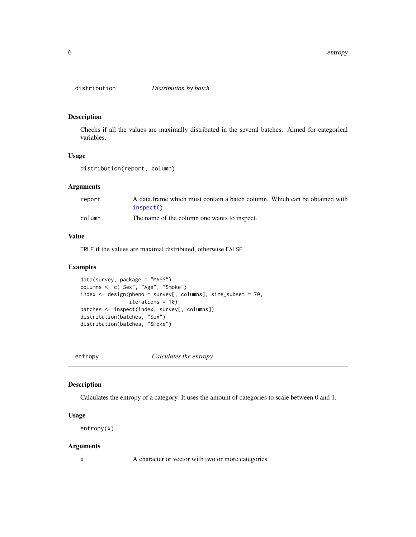<span id="page-5-0"></span>

Checks if all the values are maximally distributed in the several batches. Aimed for categorical variables.

## Usage

distribution(report, column)

## Arguments

| report | A data frame which must contain a batch column. Which can be obtained with |  |  |
|--------|----------------------------------------------------------------------------|--|--|
|        | $insect()$ .                                                               |  |  |
| column | The name of the column one wants to inspect.                               |  |  |

## Value

TRUE if the values are maximal distributed, otherwise FALSE.

#### Examples

```
data(survey, package = "MASS")
columns <- c("Sex", "Age", "Smoke")
index <- design(pheno = survey[, columns], size_subset = 70,
                iterations = 10)
batches <- inspect(index, survey[, columns])
distribution(batches, "Sex")
distribution(batches, "Smoke")
```
entropy *Calculates the entropy*

## Description

Calculates the entropy of a category. It uses the amount of categories to scale between 0 and 1.

#### Usage

entropy(x)

#### Arguments

x A character or vector with two or more categories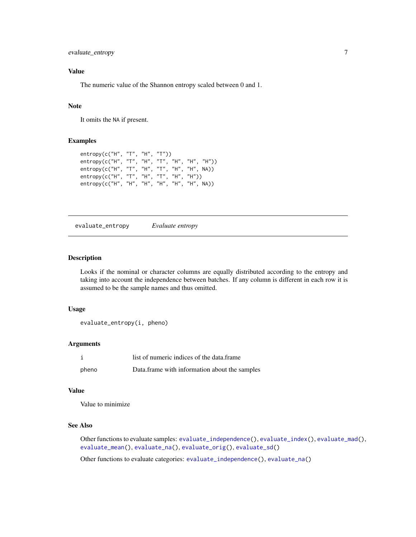<span id="page-6-0"></span>evaluate\_entropy 7

## Value

The numeric value of the Shannon entropy scaled between 0 and 1.

## Note

It omits the NA if present.

## Examples

```
entropy(c("H", "T", "H", "T"))
entropy(c("H", "T", "H", "T", "H", "H", "H"))
entropy(c("H", "T", "H", "T", "H", "H", NA))
entropy(c("H", "T", "H", "T", "H", "H"))
entropy(c("H", "H", "H", "H", "H", "H", NA))
```
<span id="page-6-1"></span>evaluate\_entropy *Evaluate entropy*

## Description

Looks if the nominal or character columns are equally distributed according to the entropy and taking into account the independence between batches. If any column is different in each row it is assumed to be the sample names and thus omitted.

#### Usage

```
evaluate_entropy(i, pheno)
```
## Arguments

|       | list of numeric indices of the data.frame     |
|-------|-----------------------------------------------|
| pheno | Data.frame with information about the samples |

#### Value

Value to minimize

## See Also

Other functions to evaluate samples: [evaluate\\_independence\(](#page-7-1)), [evaluate\\_index\(](#page-8-1)), [evaluate\\_mad\(](#page-8-2)), [evaluate\\_mean\(](#page-9-1)), [evaluate\\_na\(](#page-10-1)), [evaluate\\_orig\(](#page-11-1)), [evaluate\\_sd\(](#page-11-2))

Other functions to evaluate categories: [evaluate\\_independence\(](#page-7-1)), [evaluate\\_na\(](#page-10-1))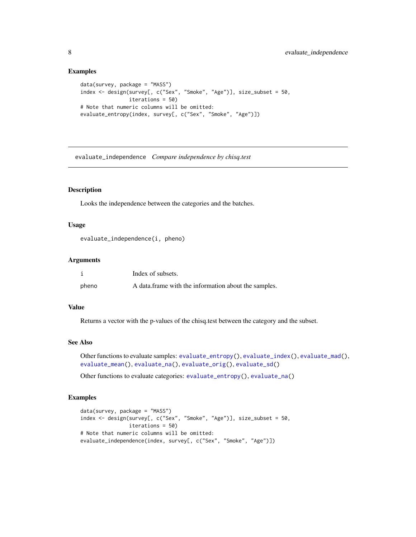#### Examples

```
data(survey, package = "MASS")
index <- design(survey[, c("Sex", "Smoke", "Age")], size_subset = 50,
               iterations = 50)
# Note that numeric columns will be omitted:
evaluate_entropy(index, survey[, c("Sex", "Smoke", "Age")])
```
<span id="page-7-1"></span>evaluate\_independence *Compare independence by chisq.test*

## Description

Looks the independence between the categories and the batches.

## Usage

```
evaluate_independence(i, pheno)
```
#### Arguments

|       | Index of subsets.                                    |
|-------|------------------------------------------------------|
| pheno | A data frame with the information about the samples. |

## Value

Returns a vector with the p-values of the chisq.test between the category and the subset.

#### See Also

Other functions to evaluate samples: [evaluate\\_entropy\(](#page-6-1)), [evaluate\\_index\(](#page-8-1)), [evaluate\\_mad\(](#page-8-2)), [evaluate\\_mean\(](#page-9-1)), [evaluate\\_na\(](#page-10-1)), [evaluate\\_orig\(](#page-11-1)), [evaluate\\_sd\(](#page-11-2))

Other functions to evaluate categories: [evaluate\\_entropy\(](#page-6-1)), [evaluate\\_na\(](#page-10-1))

```
data(survey, package = "MASS")
index <- design(survey[, c("Sex", "Smoke", "Age")], size_subset = 50,
                iterations = 50)
# Note that numeric columns will be omitted:
evaluate_independence(index, survey[, c("Sex", "Smoke", "Age")])
```
<span id="page-7-0"></span>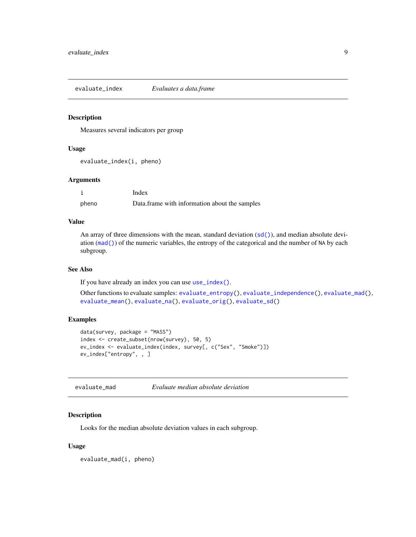<span id="page-8-1"></span><span id="page-8-0"></span>evaluate\_index *Evaluates a data.frame*

#### Description

Measures several indicators per group

## Usage

```
evaluate_index(i, pheno)
```
#### Arguments

|       | Index                                         |
|-------|-----------------------------------------------|
| pheno | Data.frame with information about the samples |

#### Value

An array of three dimensions with the mean, standard deviation ([sd\(\)](#page-0-0)), and median absolute deviation ([mad\(\)](#page-0-0)) of the numeric variables, the entropy of the categorical and the number of NA by each subgroup.

#### See Also

If you have already an index you can use [use\\_index\(\)](#page-17-1).

Other functions to evaluate samples: [evaluate\\_entropy\(](#page-6-1)), [evaluate\\_independence\(](#page-7-1)), [evaluate\\_mad\(](#page-8-2)), [evaluate\\_mean\(](#page-9-1)), [evaluate\\_na\(](#page-10-1)), [evaluate\\_orig\(](#page-11-1)), [evaluate\\_sd\(](#page-11-2))

## Examples

```
data(survey, package = "MASS")
index <- create_subset(nrow(survey), 50, 5)
ev_index <- evaluate_index(index, survey[, c("Sex", "Smoke")])
ev_index["entropy", , ]
```
<span id="page-8-2"></span>evaluate\_mad *Evaluate median absolute deviation*

#### Description

Looks for the median absolute deviation values in each subgroup.

#### Usage

evaluate\_mad(i, pheno)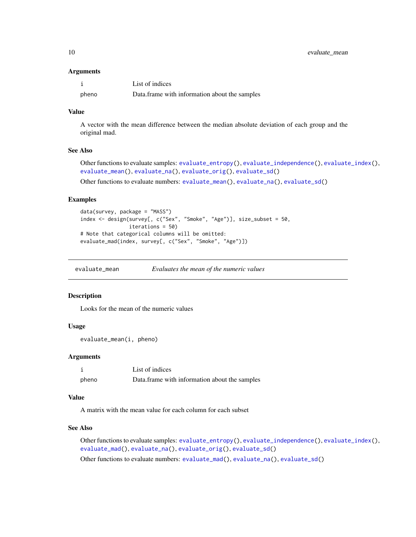<span id="page-9-0"></span>10 evaluate\_mean

#### Arguments

|       | List of indices                               |
|-------|-----------------------------------------------|
| pheno | Data.frame with information about the samples |

## Value

A vector with the mean difference between the median absolute deviation of each group and the original mad.

#### See Also

Other functions to evaluate samples: [evaluate\\_entropy\(](#page-6-1)), [evaluate\\_independence\(](#page-7-1)), [evaluate\\_index\(](#page-8-1)), [evaluate\\_mean\(](#page-9-1)), [evaluate\\_na\(](#page-10-1)), [evaluate\\_orig\(](#page-11-1)), [evaluate\\_sd\(](#page-11-2))

Other functions to evaluate numbers: [evaluate\\_mean\(](#page-9-1)), [evaluate\\_na\(](#page-10-1)), [evaluate\\_sd\(](#page-11-2))

#### Examples

```
data(survey, package = "MASS")
index <- design(survey[, c("Sex", "Smoke", "Age")], size_subset = 50,
                iterations = 50)
# Note that categorical columns will be omitted:
evaluate_mad(index, survey[, c("Sex", "Smoke", "Age")])
```
<span id="page-9-1"></span>evaluate\_mean *Evaluates the mean of the numeric values*

#### Description

Looks for the mean of the numeric values

## Usage

evaluate\_mean(i, pheno)

#### Arguments

i List of indices pheno Data.frame with information about the samples

#### Value

A matrix with the mean value for each column for each subset

#### See Also

Other functions to evaluate samples: [evaluate\\_entropy\(](#page-6-1)), [evaluate\\_independence\(](#page-7-1)), [evaluate\\_index\(](#page-8-1)), [evaluate\\_mad\(](#page-8-2)), [evaluate\\_na\(](#page-10-1)), [evaluate\\_orig\(](#page-11-1)), [evaluate\\_sd\(](#page-11-2))

Other functions to evaluate numbers: [evaluate\\_mad\(](#page-8-2)), [evaluate\\_na\(](#page-10-1)), [evaluate\\_sd\(](#page-11-2))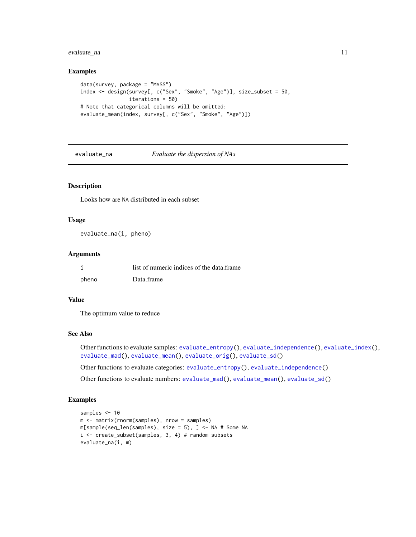## <span id="page-10-0"></span>evaluate\_na 11

#### Examples

```
data(survey, package = "MASS")
index <- design(survey[, c("Sex", "Smoke", "Age")], size_subset = 50,
               iterations = 50)
# Note that categorical columns will be omitted:
evaluate_mean(index, survey[, c("Sex", "Smoke", "Age")])
```
<span id="page-10-1"></span>

evaluate\_na *Evaluate the dispersion of NAs*

## Description

Looks how are NA distributed in each subset

#### Usage

evaluate\_na(i, pheno)

#### Arguments

|       | list of numeric indices of the data.frame |
|-------|-------------------------------------------|
| pheno | Data frame                                |

## Value

The optimum value to reduce

## See Also

Other functions to evaluate samples: [evaluate\\_entropy\(](#page-6-1)), [evaluate\\_independence\(](#page-7-1)), [evaluate\\_index\(](#page-8-1)), [evaluate\\_mad\(](#page-8-2)), [evaluate\\_mean\(](#page-9-1)), [evaluate\\_orig\(](#page-11-1)), [evaluate\\_sd\(](#page-11-2))

Other functions to evaluate categories: [evaluate\\_entropy\(](#page-6-1)), [evaluate\\_independence\(](#page-7-1))

Other functions to evaluate numbers: [evaluate\\_mad\(](#page-8-2)), [evaluate\\_mean\(](#page-9-1)), [evaluate\\_sd\(](#page-11-2))

```
samples <- 10
m <- matrix(rnorm(samples), nrow = samples)
m[sample(seq_len(samples), size = 5), ] <- NA # Some NA
i <- create_subset(samples, 3, 4) # random subsets
evaluate_na(i, m)
```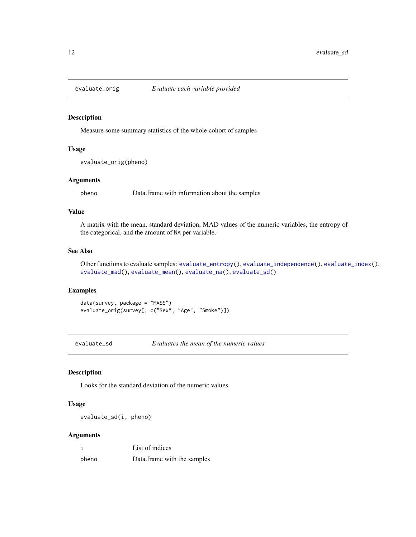<span id="page-11-1"></span><span id="page-11-0"></span>

Measure some summary statistics of the whole cohort of samples

## Usage

```
evaluate_orig(pheno)
```
#### Arguments

pheno Data.frame with information about the samples

#### Value

A matrix with the mean, standard deviation, MAD values of the numeric variables, the entropy of the categorical, and the amount of NA per variable.

## See Also

Other functions to evaluate samples: [evaluate\\_entropy\(](#page-6-1)), [evaluate\\_independence\(](#page-7-1)), [evaluate\\_index\(](#page-8-1)), [evaluate\\_mad\(](#page-8-2)), [evaluate\\_mean\(](#page-9-1)), [evaluate\\_na\(](#page-10-1)), [evaluate\\_sd\(](#page-11-2))

## Examples

```
data(survey, package = "MASS")
evaluate_orig(survey[, c("Sex", "Age", "Smoke")])
```
<span id="page-11-2"></span>evaluate\_sd *Evaluates the mean of the numeric values*

## Description

Looks for the standard deviation of the numeric values

#### Usage

evaluate\_sd(i, pheno)

#### Arguments

| -i    | List of indices             |
|-------|-----------------------------|
| pheno | Data.frame with the samples |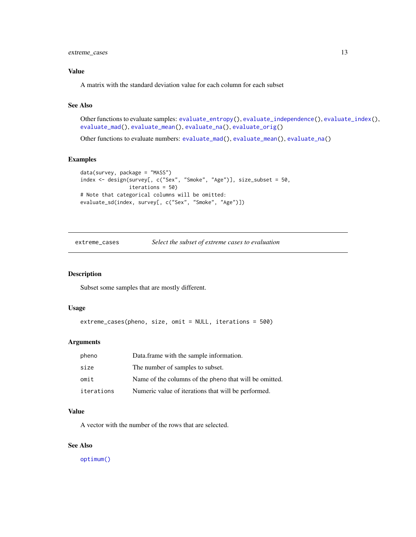## <span id="page-12-0"></span>Value

A matrix with the standard deviation value for each column for each subset

## See Also

Other functions to evaluate samples: [evaluate\\_entropy\(](#page-6-1)), [evaluate\\_independence\(](#page-7-1)), [evaluate\\_index\(](#page-8-1)), [evaluate\\_mad\(](#page-8-2)), [evaluate\\_mean\(](#page-9-1)), [evaluate\\_na\(](#page-10-1)), [evaluate\\_orig\(](#page-11-1))

Other functions to evaluate numbers: [evaluate\\_mad\(](#page-8-2)), [evaluate\\_mean\(](#page-9-1)), [evaluate\\_na\(](#page-10-1))

#### Examples

```
data(survey, package = "MASS")
index <- design(survey[, c("Sex", "Smoke", "Age")], size_subset = 50,
               iterations = 50)
# Note that categorical columns will be omitted:
evaluate_sd(index, survey[, c("Sex", "Smoke", "Age")])
```
<span id="page-12-1"></span>extreme\_cases *Select the subset of extreme cases to evaluation*

#### Description

Subset some samples that are mostly different.

#### Usage

```
extreme_cases(pheno, size, omit = NULL, iterations = 500)
```
#### Arguments

| pheno      | Data frame with the sample information.                |
|------------|--------------------------------------------------------|
| size       | The number of samples to subset.                       |
| omit       | Name of the columns of the pheno that will be omitted. |
| iterations | Numeric value of iterations that will be performed.    |

## Value

A vector with the number of the rows that are selected.

#### See Also

[optimum\(\)](#page-14-1)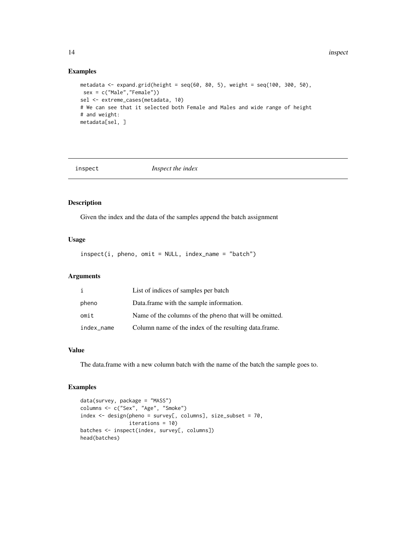## Examples

```
metadata <- expand.grid(height = seq(60, 80, 5), weight = seq(100, 300, 50),
sex = c("Male","Female"))
sel <- extreme_cases(metadata, 10)
# We can see that it selected both Female and Males and wide range of height
# and weight:
metadata[sel, ]
```
<span id="page-13-1"></span>

inspect *Inspect the index*

## Description

Given the index and the data of the samples append the batch assignment

#### Usage

 $inspect(i, pheno, omit = NULL, index_name = "batch")$ 

## Arguments

| i          | List of indices of samples per batch                   |
|------------|--------------------------------------------------------|
| pheno      | Data.frame with the sample information.                |
| omit       | Name of the columns of the pheno that will be omitted. |
| index_name | Column name of the index of the resulting data.frame.  |

#### Value

The data.frame with a new column batch with the name of the batch the sample goes to.

```
data(survey, package = "MASS")
columns <- c("Sex", "Age", "Smoke")
index <- design(pheno = survey[, columns], size_subset = 70,
                iterations = 10)
batches <- inspect(index, survey[, columns])
head(batches)
```
<span id="page-13-0"></span>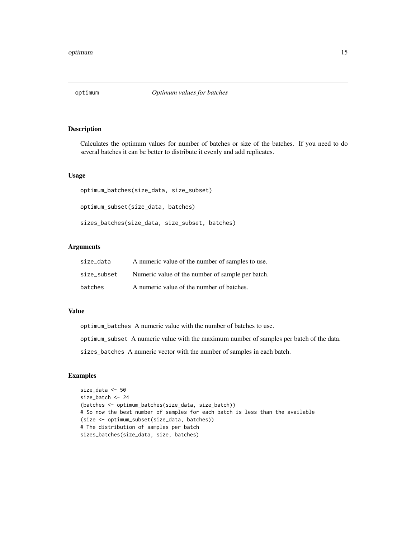<span id="page-14-1"></span><span id="page-14-0"></span>

Calculates the optimum values for number of batches or size of the batches. If you need to do several batches it can be better to distribute it evenly and add replicates.

## Usage

```
optimum_batches(size_data, size_subset)
optimum_subset(size_data, batches)
sizes_batches(size_data, size_subset, batches)
```
#### Arguments

| size data   | A numeric value of the number of samples to use. |
|-------------|--------------------------------------------------|
| size subset | Numeric value of the number of sample per batch. |
| batches     | A numeric value of the number of batches.        |

#### Value

optimum\_batches A numeric value with the number of batches to use.

optimum\_subset A numeric value with the maximum number of samples per batch of the data.

sizes\_batches A numeric vector with the number of samples in each batch.

```
size_data <- 50
size_batch <- 24
(batches <- optimum_batches(size_data, size_batch))
# So now the best number of samples for each batch is less than the available
(size <- optimum_subset(size_data, batches))
# The distribution of samples per batch
sizes_batches(size_data, size, batches)
```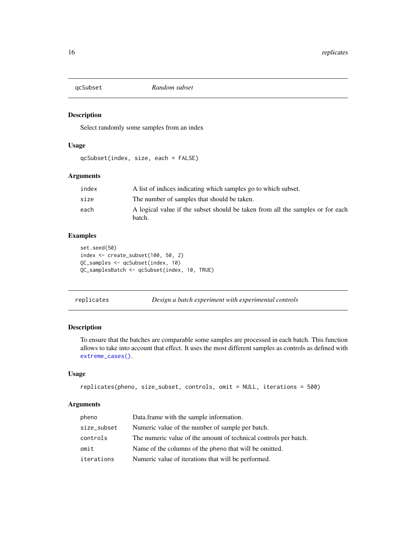<span id="page-15-0"></span>

Select randomly some samples from an index

## Usage

qcSubset(index, size, each = FALSE)

## Arguments

| index | A list of indices indicating which samples go to which subset.                           |
|-------|------------------------------------------------------------------------------------------|
| size  | The number of samples that should be taken.                                              |
| each  | A logical value if the subset should be taken from all the samples or for each<br>batch. |

## Examples

```
set.seed(50)
index <- create_subset(100, 50, 2)
QC_samples <- qcSubset(index, 10)
QC_samplesBatch <- qcSubset(index, 10, TRUE)
```
<span id="page-15-1"></span>replicates *Design a batch experiment with experimental controls*

#### Description

To ensure that the batches are comparable some samples are processed in each batch. This function allows to take into account that effect. It uses the most different samples as controls as defined with [extreme\\_cases\(\)](#page-12-1).

#### Usage

```
replicates(pheno, size_subset, controls, omit = NULL, iterations = 500)
```
## Arguments

| pheno       | Data.frame with the sample information.                          |
|-------------|------------------------------------------------------------------|
| size_subset | Numeric value of the number of sample per batch.                 |
| controls    | The numeric value of the amount of technical controls per batch. |
| omit        | Name of the columns of the pheno that will be omitted.           |
| iterations  | Numeric value of iterations that will be performed.              |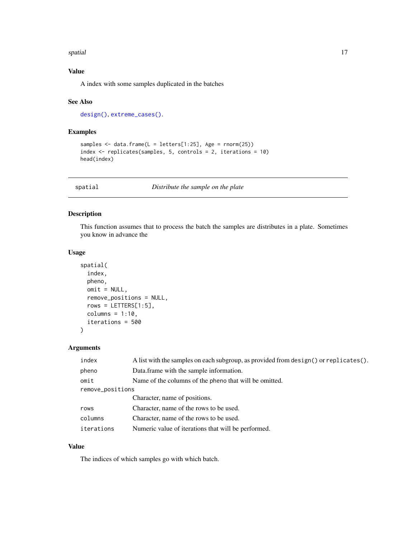#### <span id="page-16-0"></span>spatial the set of the set of the set of the set of the set of the set of the set of the set of the set of the set of the set of the set of the set of the set of the set of the set of the set of the set of the set of the s

## Value

A index with some samples duplicated in the batches

#### See Also

[design\(\)](#page-4-1), [extreme\\_cases\(\)](#page-12-1).

#### Examples

```
samples <- data.frame(L = letters[1:25], Age = rnorm(25))
index <- replicates(samples, 5, controls = 2, iterations = 10)
head(index)
```
<span id="page-16-1"></span>

spatial *Distribute the sample on the plate*

#### Description

This function assumes that to process the batch the samples are distributes in a plate. Sometimes you know in advance the

#### Usage

```
spatial(
  index,
 pheno,
 omit = NULL,remove_positions = NULL,
  rows = LETTERS[1:5],colums = 1:10,iterations = 500
)
```
## Arguments

| index            | A list with the samples on each subgroup, as provided from design() or replicates(). |
|------------------|--------------------------------------------------------------------------------------|
| pheno            | Data.frame with the sample information.                                              |
| omit             | Name of the columns of the pheno that will be omitted.                               |
| remove_positions |                                                                                      |
|                  | Character, name of positions.                                                        |
| rows             | Character, name of the rows to be used.                                              |
| columns          | Character, name of the rows to be used.                                              |
| iterations       | Numeric value of iterations that will be performed.                                  |

## Value

The indices of which samples go with which batch.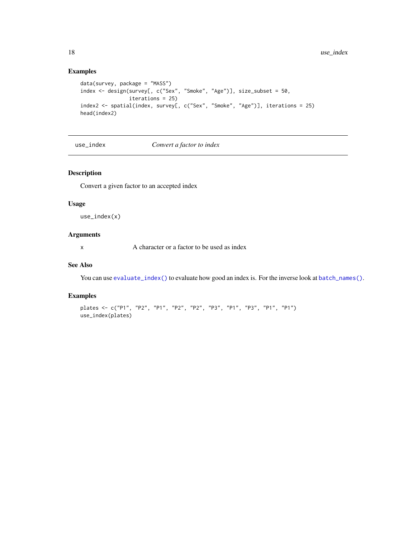## Examples

```
data(survey, package = "MASS")
index <- design(survey[, c("Sex", "Smoke", "Age")], size_subset = 50,
                iterations = 25)
index2 <- spatial(index, survey[, c("Sex", "Smoke", "Age")], iterations = 25)
head(index2)
```
<span id="page-17-1"></span>use\_index *Convert a factor to index*

#### Description

Convert a given factor to an accepted index

#### Usage

use\_index(x)

## Arguments

x A character or a factor to be used as index

## See Also

You can use [evaluate\\_index\(\)](#page-8-1) to evaluate how good an index is. For the inverse look at [batch\\_names\(\)](#page-2-1).

```
plates <- c("P1", "P2", "P1", "P2", "P2", "P3", "P1", "P3", "P1", "P1")
use_index(plates)
```
<span id="page-17-0"></span>